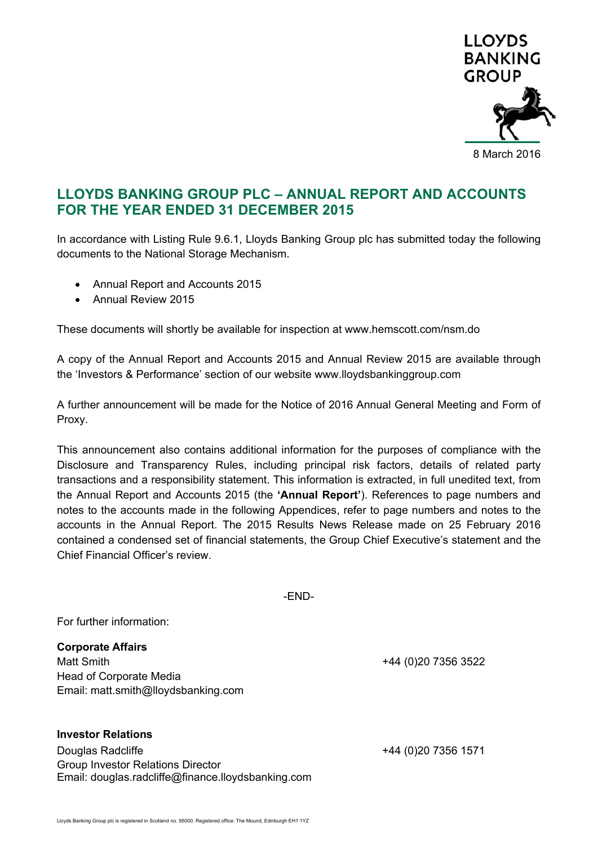

# **LLOYDS BANKING GROUP PLC – ANNUAL REPORT AND ACCOUNTS FOR THE YEAR ENDED 31 DECEMBER 2015**

In accordance with Listing Rule 9.6.1, Lloyds Banking Group plc has submitted today the following documents to the National Storage Mechanism.

- Annual Report and Accounts 2015
- Annual Review 2015

These documents will shortly be available for inspection at www.hemscott.com/nsm.do

A copy of the Annual Report and Accounts 2015 and Annual Review 2015 are available through the 'Investors & Performance' section of our website www.lloydsbankinggroup.com

A further announcement will be made for the Notice of 2016 Annual General Meeting and Form of Proxy.

This announcement also contains additional information for the purposes of compliance with the Disclosure and Transparency Rules, including principal risk factors, details of related party transactions and a responsibility statement. This information is extracted, in full unedited text, from the Annual Report and Accounts 2015 (the **'Annual Report'**). References to page numbers and notes to the accounts made in the following Appendices, refer to page numbers and notes to the accounts in the Annual Report. The 2015 Results News Release made on 25 February 2016 contained a condensed set of financial statements, the Group Chief Executive's statement and the Chief Financial Officer's review.

-END-

For further information:

**Corporate Affairs**  Matt Smith +44 (0)20 7356 3522 Head of Corporate Media Email: matt.smith@lloydsbanking.com

# **Investor Relations**

Douglas Radcliffe **+44** (0)20 7356 1571 Group Investor Relations Director Email: douglas.radcliffe@finance.lloydsbanking.com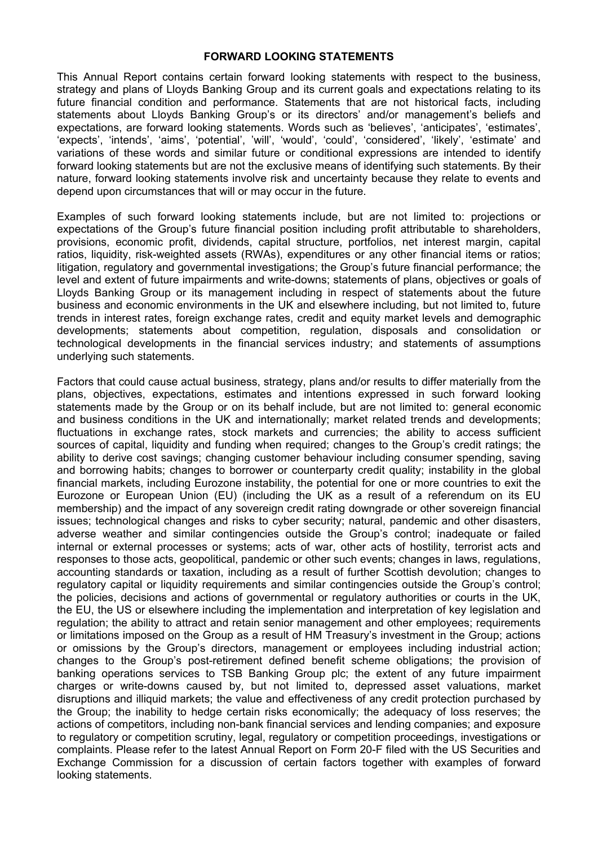### **FORWARD LOOKING STATEMENTS**

This Annual Report contains certain forward looking statements with respect to the business, strategy and plans of Lloyds Banking Group and its current goals and expectations relating to its future financial condition and performance. Statements that are not historical facts, including statements about Lloyds Banking Group's or its directors' and/or management's beliefs and expectations, are forward looking statements. Words such as 'believes', 'anticipates', 'estimates', 'expects', 'intends', 'aims', 'potential', 'will', 'would', 'could', 'considered', 'likely', 'estimate' and variations of these words and similar future or conditional expressions are intended to identify forward looking statements but are not the exclusive means of identifying such statements. By their nature, forward looking statements involve risk and uncertainty because they relate to events and depend upon circumstances that will or may occur in the future.

Examples of such forward looking statements include, but are not limited to: projections or expectations of the Group's future financial position including profit attributable to shareholders, provisions, economic profit, dividends, capital structure, portfolios, net interest margin, capital ratios, liquidity, risk-weighted assets (RWAs), expenditures or any other financial items or ratios; litigation, regulatory and governmental investigations; the Group's future financial performance; the level and extent of future impairments and write-downs; statements of plans, objectives or goals of Lloyds Banking Group or its management including in respect of statements about the future business and economic environments in the UK and elsewhere including, but not limited to, future trends in interest rates, foreign exchange rates, credit and equity market levels and demographic developments; statements about competition, regulation, disposals and consolidation or technological developments in the financial services industry; and statements of assumptions underlying such statements.

Factors that could cause actual business, strategy, plans and/or results to differ materially from the plans, objectives, expectations, estimates and intentions expressed in such forward looking statements made by the Group or on its behalf include, but are not limited to: general economic and business conditions in the UK and internationally; market related trends and developments; fluctuations in exchange rates, stock markets and currencies; the ability to access sufficient sources of capital, liquidity and funding when required; changes to the Group's credit ratings; the ability to derive cost savings; changing customer behaviour including consumer spending, saving and borrowing habits; changes to borrower or counterparty credit quality; instability in the global financial markets, including Eurozone instability, the potential for one or more countries to exit the Eurozone or European Union (EU) (including the UK as a result of a referendum on its EU membership) and the impact of any sovereign credit rating downgrade or other sovereign financial issues; technological changes and risks to cyber security; natural, pandemic and other disasters, adverse weather and similar contingencies outside the Group's control; inadequate or failed internal or external processes or systems; acts of war, other acts of hostility, terrorist acts and responses to those acts, geopolitical, pandemic or other such events; changes in laws, regulations, accounting standards or taxation, including as a result of further Scottish devolution; changes to regulatory capital or liquidity requirements and similar contingencies outside the Group's control; the policies, decisions and actions of governmental or regulatory authorities or courts in the UK, the EU, the US or elsewhere including the implementation and interpretation of key legislation and regulation; the ability to attract and retain senior management and other employees; requirements or limitations imposed on the Group as a result of HM Treasury's investment in the Group; actions or omissions by the Group's directors, management or employees including industrial action; changes to the Group's post-retirement defined benefit scheme obligations; the provision of banking operations services to TSB Banking Group plc; the extent of any future impairment charges or write-downs caused by, but not limited to, depressed asset valuations, market disruptions and illiquid markets; the value and effectiveness of any credit protection purchased by the Group; the inability to hedge certain risks economically; the adequacy of loss reserves; the actions of competitors, including non-bank financial services and lending companies; and exposure to regulatory or competition scrutiny, legal, regulatory or competition proceedings, investigations or complaints. Please refer to the latest Annual Report on Form 20-F filed with the US Securities and Exchange Commission for a discussion of certain factors together with examples of forward looking statements.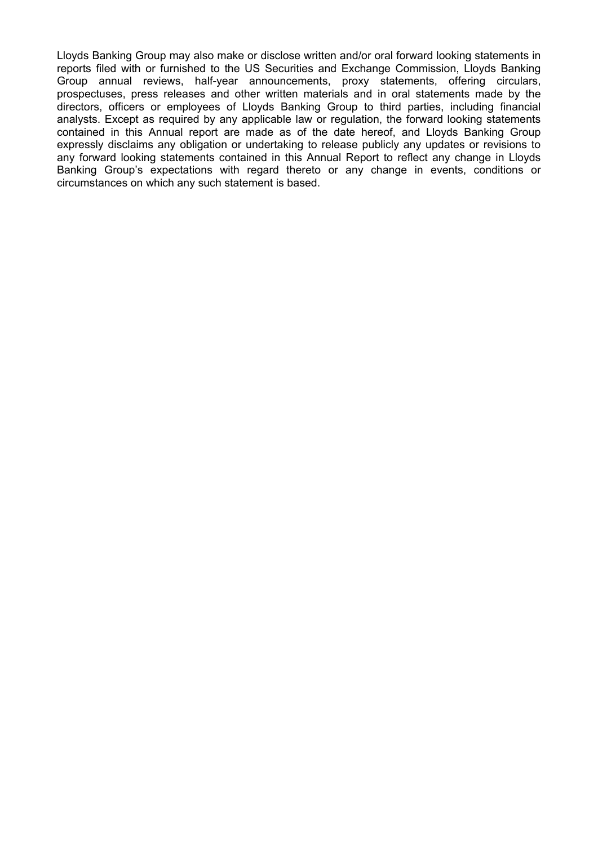Lloyds Banking Group may also make or disclose written and/or oral forward looking statements in reports filed with or furnished to the US Securities and Exchange Commission, Lloyds Banking Group annual reviews, half-year announcements, proxy statements, offering circulars, prospectuses, press releases and other written materials and in oral statements made by the directors, officers or employees of Lloyds Banking Group to third parties, including financial analysts. Except as required by any applicable law or regulation, the forward looking statements contained in this Annual report are made as of the date hereof, and Lloyds Banking Group expressly disclaims any obligation or undertaking to release publicly any updates or revisions to any forward looking statements contained in this Annual Report to reflect any change in Lloyds Banking Group's expectations with regard thereto or any change in events, conditions or circumstances on which any such statement is based.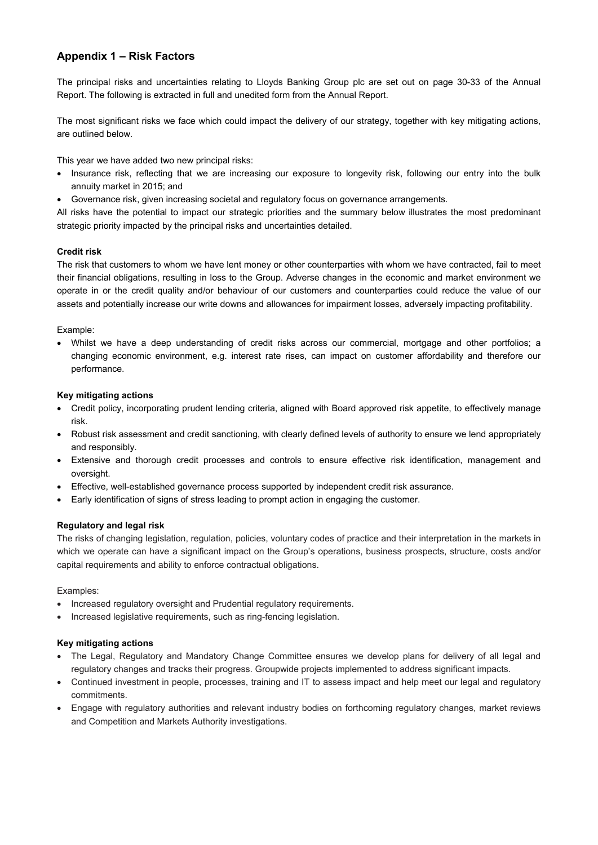# **Appendix 1 – Risk Factors**

The principal risks and uncertainties relating to Lloyds Banking Group plc are set out on page 30-33 of the Annual Report. The following is extracted in full and unedited form from the Annual Report.

The most significant risks we face which could impact the delivery of our strategy, together with key mitigating actions, are outlined below.

This year we have added two new principal risks:

- Insurance risk, reflecting that we are increasing our exposure to longevity risk, following our entry into the bulk annuity market in 2015; and
- Governance risk, given increasing societal and regulatory focus on governance arrangements.

All risks have the potential to impact our strategic priorities and the summary below illustrates the most predominant strategic priority impacted by the principal risks and uncertainties detailed.

### **Credit risk**

The risk that customers to whom we have lent money or other counterparties with whom we have contracted, fail to meet their financial obligations, resulting in loss to the Group. Adverse changes in the economic and market environment we operate in or the credit quality and/or behaviour of our customers and counterparties could reduce the value of our assets and potentially increase our write downs and allowances for impairment losses, adversely impacting profitability.

### Example:

 Whilst we have a deep understanding of credit risks across our commercial, mortgage and other portfolios; a changing economic environment, e.g. interest rate rises, can impact on customer affordability and therefore our performance.

### **Key mitigating actions**

- Credit policy, incorporating prudent lending criteria, aligned with Board approved risk appetite, to effectively manage risk.
- Robust risk assessment and credit sanctioning, with clearly defined levels of authority to ensure we lend appropriately and responsibly.
- Extensive and thorough credit processes and controls to ensure effective risk identification, management and oversight.
- Effective, well-established governance process supported by independent credit risk assurance.
- Early identification of signs of stress leading to prompt action in engaging the customer.

### **Regulatory and legal risk**

The risks of changing legislation, regulation, policies, voluntary codes of practice and their interpretation in the markets in which we operate can have a significant impact on the Group's operations, business prospects, structure, costs and/or capital requirements and ability to enforce contractual obligations.

### Examples:

- Increased regulatory oversight and Prudential regulatory requirements.
- Increased legislative requirements, such as ring-fencing legislation.

- The Legal, Regulatory and Mandatory Change Committee ensures we develop plans for delivery of all legal and regulatory changes and tracks their progress. Groupwide projects implemented to address significant impacts.
- Continued investment in people, processes, training and IT to assess impact and help meet our legal and regulatory commitments.
- Engage with regulatory authorities and relevant industry bodies on forthcoming regulatory changes, market reviews and Competition and Markets Authority investigations.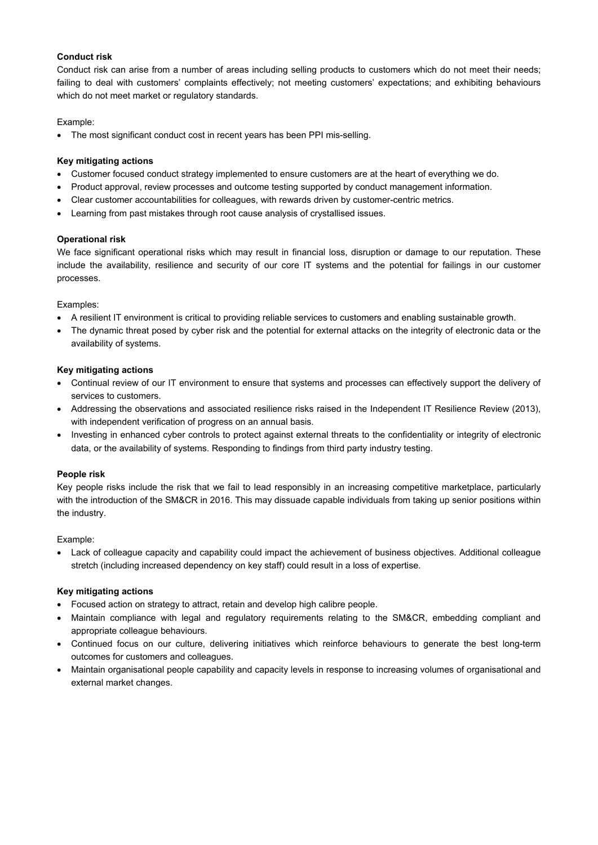### **Conduct risk**

Conduct risk can arise from a number of areas including selling products to customers which do not meet their needs; failing to deal with customers' complaints effectively; not meeting customers' expectations; and exhibiting behaviours which do not meet market or regulatory standards.

### Example:

The most significant conduct cost in recent years has been PPI mis-selling.

### **Key mitigating actions**

- Customer focused conduct strategy implemented to ensure customers are at the heart of everything we do.
- Product approval, review processes and outcome testing supported by conduct management information.
- Clear customer accountabilities for colleagues, with rewards driven by customer-centric metrics.
- Learning from past mistakes through root cause analysis of crystallised issues.

### **Operational risk**

We face significant operational risks which may result in financial loss, disruption or damage to our reputation. These include the availability, resilience and security of our core IT systems and the potential for failings in our customer processes.

### Examples:

- A resilient IT environment is critical to providing reliable services to customers and enabling sustainable growth.
- The dynamic threat posed by cyber risk and the potential for external attacks on the integrity of electronic data or the availability of systems.

### **Key mitigating actions**

- Continual review of our IT environment to ensure that systems and processes can effectively support the delivery of services to customers.
- Addressing the observations and associated resilience risks raised in the Independent IT Resilience Review (2013), with independent verification of progress on an annual basis.
- Investing in enhanced cyber controls to protect against external threats to the confidentiality or integrity of electronic data, or the availability of systems. Responding to findings from third party industry testing.

### **People risk**

Key people risks include the risk that we fail to lead responsibly in an increasing competitive marketplace, particularly with the introduction of the SM&CR in 2016. This may dissuade capable individuals from taking up senior positions within the industry.

### Example:

 Lack of colleague capacity and capability could impact the achievement of business objectives. Additional colleague stretch (including increased dependency on key staff) could result in a loss of expertise.

- Focused action on strategy to attract, retain and develop high calibre people.
- Maintain compliance with legal and regulatory requirements relating to the SM&CR, embedding compliant and appropriate colleague behaviours.
- Continued focus on our culture, delivering initiatives which reinforce behaviours to generate the best long-term outcomes for customers and colleagues.
- Maintain organisational people capability and capacity levels in response to increasing volumes of organisational and external market changes.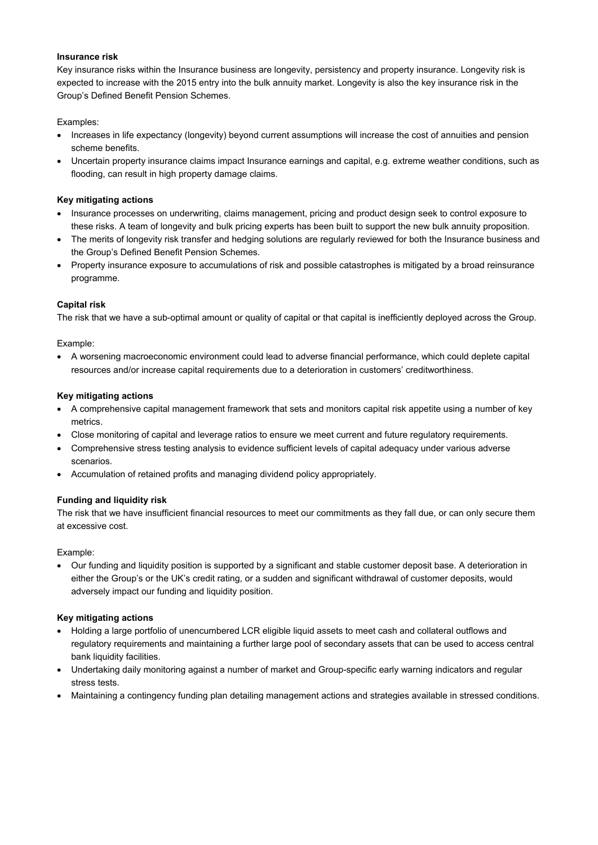### **Insurance risk**

Key insurance risks within the Insurance business are longevity, persistency and property insurance. Longevity risk is expected to increase with the 2015 entry into the bulk annuity market. Longevity is also the key insurance risk in the Group's Defined Benefit Pension Schemes.

### Examples:

- Increases in life expectancy (longevity) beyond current assumptions will increase the cost of annuities and pension scheme benefits.
- Uncertain property insurance claims impact Insurance earnings and capital, e.g. extreme weather conditions, such as flooding, can result in high property damage claims.

### **Key mitigating actions**

- Insurance processes on underwriting, claims management, pricing and product design seek to control exposure to these risks. A team of longevity and bulk pricing experts has been built to support the new bulk annuity proposition.
- The merits of longevity risk transfer and hedging solutions are regularly reviewed for both the Insurance business and the Group's Defined Benefit Pension Schemes.
- Property insurance exposure to accumulations of risk and possible catastrophes is mitigated by a broad reinsurance programme.

### **Capital risk**

The risk that we have a sub-optimal amount or quality of capital or that capital is inefficiently deployed across the Group.

### Example:

 A worsening macroeconomic environment could lead to adverse financial performance, which could deplete capital resources and/or increase capital requirements due to a deterioration in customers' creditworthiness.

### **Key mitigating actions**

- A comprehensive capital management framework that sets and monitors capital risk appetite using a number of key metrics.
- Close monitoring of capital and leverage ratios to ensure we meet current and future regulatory requirements.
- Comprehensive stress testing analysis to evidence sufficient levels of capital adequacy under various adverse scenarios.
- Accumulation of retained profits and managing dividend policy appropriately.

### **Funding and liquidity risk**

The risk that we have insufficient financial resources to meet our commitments as they fall due, or can only secure them at excessive cost.

#### Example:

 Our funding and liquidity position is supported by a significant and stable customer deposit base. A deterioration in either the Group's or the UK's credit rating, or a sudden and significant withdrawal of customer deposits, would adversely impact our funding and liquidity position.

- Holding a large portfolio of unencumbered LCR eligible liquid assets to meet cash and collateral outflows and regulatory requirements and maintaining a further large pool of secondary assets that can be used to access central bank liquidity facilities.
- Undertaking daily monitoring against a number of market and Group-specific early warning indicators and regular stress tests.
- Maintaining a contingency funding plan detailing management actions and strategies available in stressed conditions.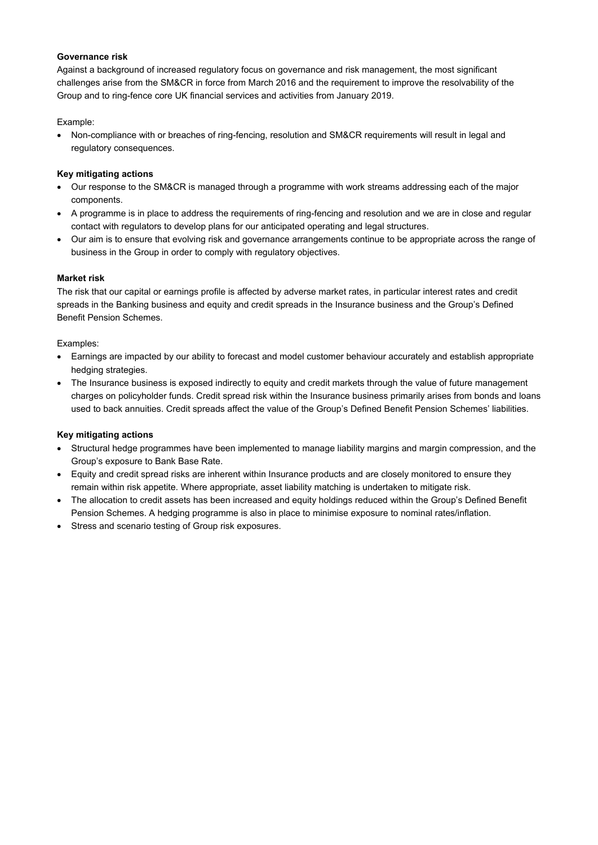### **Governance risk**

Against a background of increased regulatory focus on governance and risk management, the most significant challenges arise from the SM&CR in force from March 2016 and the requirement to improve the resolvability of the Group and to ring-fence core UK financial services and activities from January 2019.

Example:

• Non-compliance with or breaches of ring-fencing, resolution and SM&CR requirements will result in legal and regulatory consequences.

### **Key mitigating actions**

- Our response to the SM&CR is managed through a programme with work streams addressing each of the major components.
- A programme is in place to address the requirements of ring-fencing and resolution and we are in close and regular contact with regulators to develop plans for our anticipated operating and legal structures.
- Our aim is to ensure that evolving risk and governance arrangements continue to be appropriate across the range of business in the Group in order to comply with regulatory objectives.

### **Market risk**

The risk that our capital or earnings profile is affected by adverse market rates, in particular interest rates and credit spreads in the Banking business and equity and credit spreads in the Insurance business and the Group's Defined Benefit Pension Schemes.

### Examples:

- Earnings are impacted by our ability to forecast and model customer behaviour accurately and establish appropriate hedging strategies.
- The Insurance business is exposed indirectly to equity and credit markets through the value of future management charges on policyholder funds. Credit spread risk within the Insurance business primarily arises from bonds and loans used to back annuities. Credit spreads affect the value of the Group's Defined Benefit Pension Schemes' liabilities.

- Structural hedge programmes have been implemented to manage liability margins and margin compression, and the Group's exposure to Bank Base Rate.
- Equity and credit spread risks are inherent within Insurance products and are closely monitored to ensure they remain within risk appetite. Where appropriate, asset liability matching is undertaken to mitigate risk.
- The allocation to credit assets has been increased and equity holdings reduced within the Group's Defined Benefit Pension Schemes. A hedging programme is also in place to minimise exposure to nominal rates/inflation.
- Stress and scenario testing of Group risk exposures.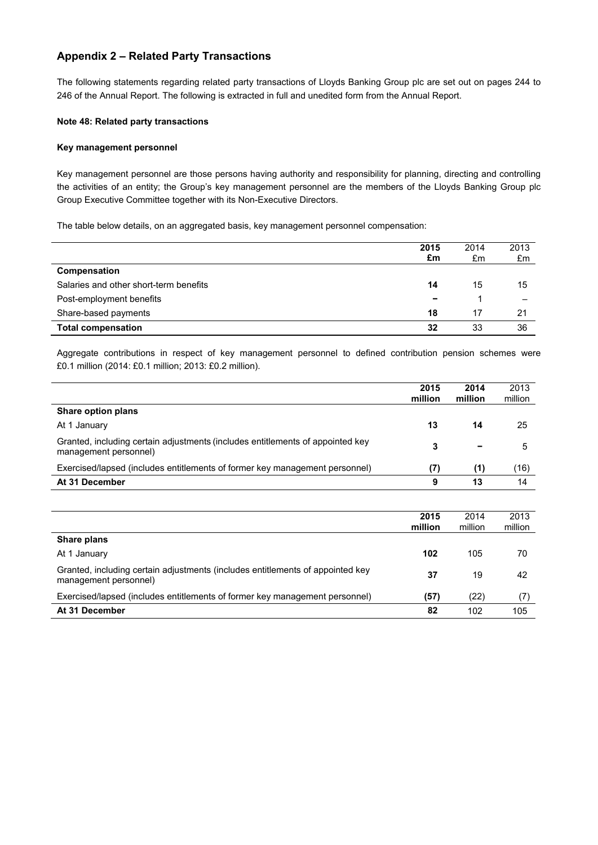# **Appendix 2 – Related Party Transactions**

The following statements regarding related party transactions of Lloyds Banking Group plc are set out on pages 244 to 246 of the Annual Report. The following is extracted in full and unedited form from the Annual Report.

### **Note 48: Related party transactions**

### **Key management personnel**

Key management personnel are those persons having authority and responsibility for planning, directing and controlling the activities of an entity; the Group's key management personnel are the members of the Lloyds Banking Group plc Group Executive Committee together with its Non-Executive Directors.

The table below details, on an aggregated basis, key management personnel compensation:

|                                        | 2015<br>£m | 2014<br>£m | 2013<br>£m |
|----------------------------------------|------------|------------|------------|
| Compensation                           |            |            |            |
| Salaries and other short-term benefits | 14         | 15         | 15         |
| Post-employment benefits               | -          |            |            |
| Share-based payments                   | 18         | 17         | 21         |
| <b>Total compensation</b>              | 32         | 33         | 36         |

Aggregate contributions in respect of key management personnel to defined contribution pension schemes were £0.1 million (2014: £0.1 million; 2013: £0.2 million).

|                                                                                                         | 2015<br>million | 2014<br>million | 2013<br>million |
|---------------------------------------------------------------------------------------------------------|-----------------|-----------------|-----------------|
| Share option plans                                                                                      |                 |                 |                 |
| At 1 January                                                                                            | 13              | 14              | 25              |
| Granted, including certain adjustments (includes entitlements of appointed key<br>management personnel) |                 | -               | 5               |
| Exercised/lapsed (includes entitlements of former key management personnel)                             | (7)             | (1)             | (16)            |
| At 31 December                                                                                          | 9               | 13              | 14              |

|                                                                                                         | 2015<br>million | 2014<br>million | 2013<br>million |
|---------------------------------------------------------------------------------------------------------|-----------------|-----------------|-----------------|
| Share plans                                                                                             |                 |                 |                 |
| At 1 January                                                                                            | 102             | 105             | 70              |
| Granted, including certain adjustments (includes entitlements of appointed key<br>management personnel) | 37              | 19              | 42              |
| Exercised/lapsed (includes entitlements of former key management personnel)                             | (57)            | (22)            | (7)             |
| At 31 December                                                                                          | 82              | 102             | 105             |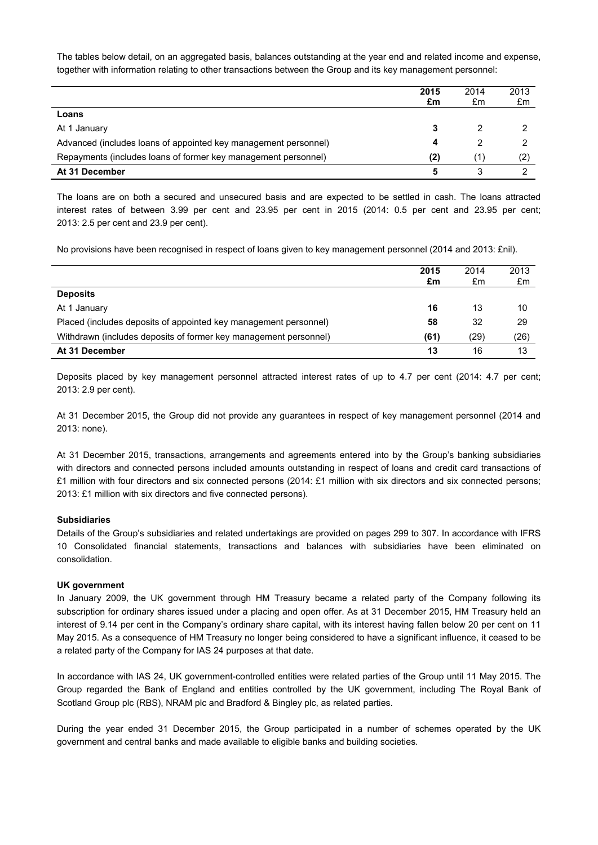The tables below detail, on an aggregated basis, balances outstanding at the year end and related income and expense, together with information relating to other transactions between the Group and its key management personnel:

|                                                                 | 2015<br>£m | 2014<br>£m | 2013<br>£m |
|-----------------------------------------------------------------|------------|------------|------------|
| Loans                                                           |            |            |            |
| At 1 January                                                    |            |            |            |
| Advanced (includes loans of appointed key management personnel) |            |            |            |
| Repayments (includes loans of former key management personnel)  | (2)        |            | (2)        |
| At 31 December                                                  |            | 3          |            |

The loans are on both a secured and unsecured basis and are expected to be settled in cash. The loans attracted interest rates of between 3.99 per cent and 23.95 per cent in 2015 (2014: 0.5 per cent and 23.95 per cent; 2013: 2.5 per cent and 23.9 per cent).

No provisions have been recognised in respect of loans given to key management personnel (2014 and 2013: £nil).

|                                                                  | 2015<br>£m | 2014<br>£m | 2013<br>£m |
|------------------------------------------------------------------|------------|------------|------------|
| <b>Deposits</b>                                                  |            |            |            |
| At 1 January                                                     | 16         | 13         | 10         |
| Placed (includes deposits of appointed key management personnel) | 58         | 32         | 29         |
| Withdrawn (includes deposits of former key management personnel) | (61)       | (29)       | (26)       |
| At 31 December                                                   | 13         | 16         | 13         |

Deposits placed by key management personnel attracted interest rates of up to 4.7 per cent (2014: 4.7 per cent; 2013: 2.9 per cent).

At 31 December 2015, the Group did not provide any guarantees in respect of key management personnel (2014 and 2013: none).

At 31 December 2015, transactions, arrangements and agreements entered into by the Group's banking subsidiaries with directors and connected persons included amounts outstanding in respect of loans and credit card transactions of £1 million with four directors and six connected persons (2014: £1 million with six directors and six connected persons; 2013: £1 million with six directors and five connected persons).

### **Subsidiaries**

Details of the Group's subsidiaries and related undertakings are provided on pages 299 to 307. In accordance with IFRS 10 Consolidated financial statements, transactions and balances with subsidiaries have been eliminated on consolidation.

#### **UK government**

In January 2009, the UK government through HM Treasury became a related party of the Company following its subscription for ordinary shares issued under a placing and open offer. As at 31 December 2015, HM Treasury held an interest of 9.14 per cent in the Company's ordinary share capital, with its interest having fallen below 20 per cent on 11 May 2015. As a consequence of HM Treasury no longer being considered to have a significant influence, it ceased to be a related party of the Company for IAS 24 purposes at that date.

In accordance with IAS 24, UK government-controlled entities were related parties of the Group until 11 May 2015. The Group regarded the Bank of England and entities controlled by the UK government, including The Royal Bank of Scotland Group plc (RBS), NRAM plc and Bradford & Bingley plc, as related parties.

During the year ended 31 December 2015, the Group participated in a number of schemes operated by the UK government and central banks and made available to eligible banks and building societies.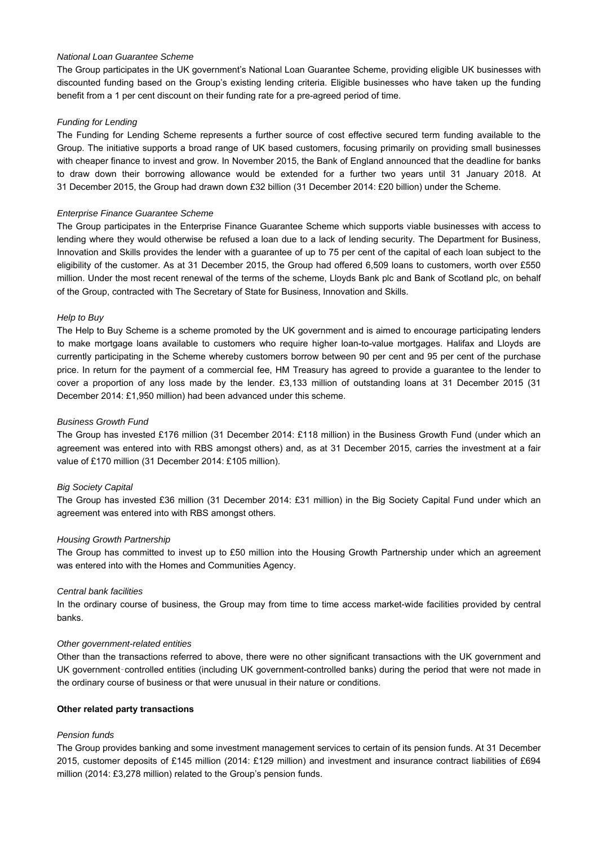### *National Loan Guarantee Scheme*

The Group participates in the UK government's National Loan Guarantee Scheme, providing eligible UK businesses with discounted funding based on the Group's existing lending criteria. Eligible businesses who have taken up the funding benefit from a 1 per cent discount on their funding rate for a pre-agreed period of time.

### *Funding for Lending*

The Funding for Lending Scheme represents a further source of cost effective secured term funding available to the Group. The initiative supports a broad range of UK based customers, focusing primarily on providing small businesses with cheaper finance to invest and grow. In November 2015, the Bank of England announced that the deadline for banks to draw down their borrowing allowance would be extended for a further two years until 31 January 2018. At 31 December 2015, the Group had drawn down £32 billion (31 December 2014: £20 billion) under the Scheme.

#### *Enterprise Finance Guarantee Scheme*

The Group participates in the Enterprise Finance Guarantee Scheme which supports viable businesses with access to lending where they would otherwise be refused a loan due to a lack of lending security. The Department for Business, Innovation and Skills provides the lender with a guarantee of up to 75 per cent of the capital of each loan subject to the eligibility of the customer. As at 31 December 2015, the Group had offered 6,509 loans to customers, worth over £550 million. Under the most recent renewal of the terms of the scheme, Lloyds Bank plc and Bank of Scotland plc, on behalf of the Group, contracted with The Secretary of State for Business, Innovation and Skills.

### *Help to Buy*

The Help to Buy Scheme is a scheme promoted by the UK government and is aimed to encourage participating lenders to make mortgage loans available to customers who require higher loan-to-value mortgages. Halifax and Lloyds are currently participating in the Scheme whereby customers borrow between 90 per cent and 95 per cent of the purchase price. In return for the payment of a commercial fee, HM Treasury has agreed to provide a guarantee to the lender to cover a proportion of any loss made by the lender. £3,133 million of outstanding loans at 31 December 2015 (31 December 2014: £1,950 million) had been advanced under this scheme.

### *Business Growth Fund*

The Group has invested £176 million (31 December 2014: £118 million) in the Business Growth Fund (under which an agreement was entered into with RBS amongst others) and, as at 31 December 2015, carries the investment at a fair value of £170 million (31 December 2014: £105 million).

#### *Big Society Capital*

The Group has invested £36 million (31 December 2014: £31 million) in the Big Society Capital Fund under which an agreement was entered into with RBS amongst others.

#### *Housing Growth Partnership*

The Group has committed to invest up to £50 million into the Housing Growth Partnership under which an agreement was entered into with the Homes and Communities Agency.

#### *Central bank facilities*

In the ordinary course of business, the Group may from time to time access market-wide facilities provided by central banks.

#### *Other government-related entities*

Other than the transactions referred to above, there were no other significant transactions with the UK government and UK government‑controlled entities (including UK government-controlled banks) during the period that were not made in the ordinary course of business or that were unusual in their nature or conditions.

#### **Other related party transactions**

#### *Pension funds*

The Group provides banking and some investment management services to certain of its pension funds. At 31 December 2015, customer deposits of £145 million (2014: £129 million) and investment and insurance contract liabilities of £694 million (2014: £3,278 million) related to the Group's pension funds.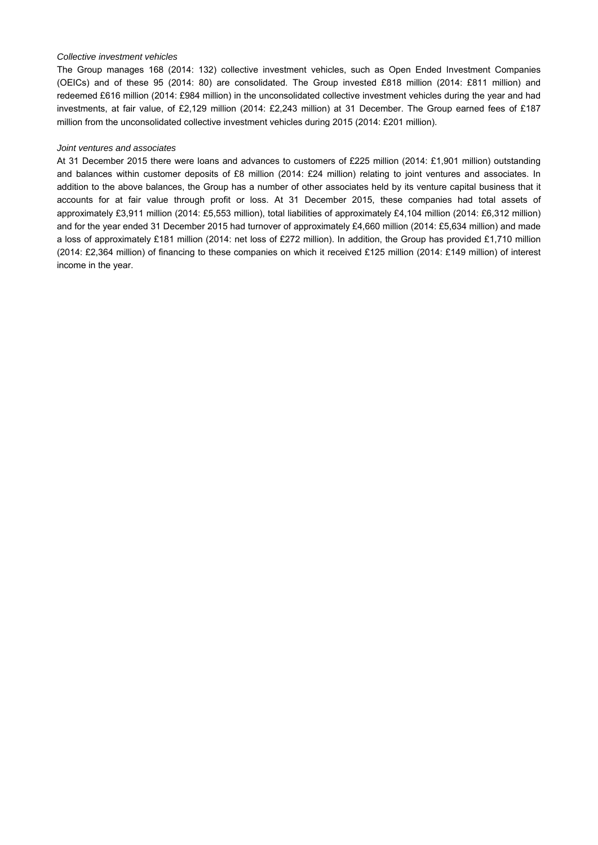#### *Collective investment vehicles*

The Group manages 168 (2014: 132) collective investment vehicles, such as Open Ended Investment Companies (OEICs) and of these 95 (2014: 80) are consolidated. The Group invested £818 million (2014: £811 million) and redeemed £616 million (2014: £984 million) in the unconsolidated collective investment vehicles during the year and had investments, at fair value, of £2,129 million (2014: £2,243 million) at 31 December. The Group earned fees of £187 million from the unconsolidated collective investment vehicles during 2015 (2014: £201 million).

#### *Joint ventures and associates*

At 31 December 2015 there were loans and advances to customers of £225 million (2014: £1,901 million) outstanding and balances within customer deposits of £8 million (2014: £24 million) relating to joint ventures and associates. In addition to the above balances, the Group has a number of other associates held by its venture capital business that it accounts for at fair value through profit or loss. At 31 December 2015, these companies had total assets of approximately £3,911 million (2014: £5,553 million), total liabilities of approximately £4,104 million (2014: £6,312 million) and for the year ended 31 December 2015 had turnover of approximately £4,660 million (2014: £5,634 million) and made a loss of approximately £181 million (2014: net loss of £272 million). In addition, the Group has provided £1,710 million (2014: £2,364 million) of financing to these companies on which it received £125 million (2014: £149 million) of interest income in the year.